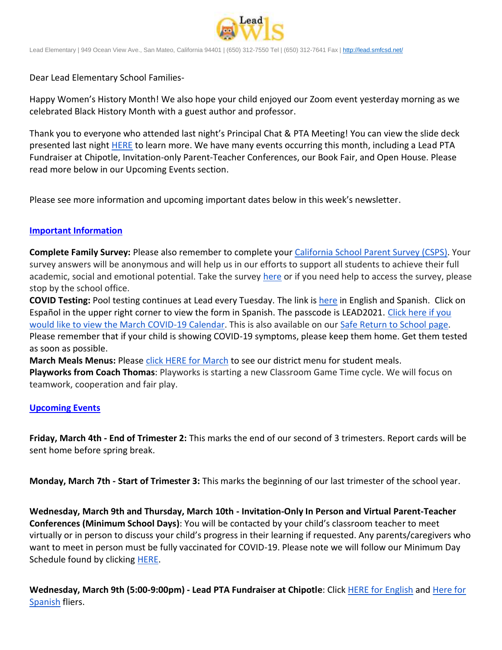

Lead Elementary | 949 Ocean View Ave., San Mateo, California 94401 | (650) 312-7550 Tel | (650) 312-7641 Fax [| http://lead.smfcsd.net/](http://lead.smfcsd.net/)

Dear Lead Elementary School Families-

Happy Women's History Month! We also hope your child enjoyed our Zoom event yesterday morning as we celebrated Black History Month with a guest author and professor.

Thank you to everyone who attended last night's Principal Chat & PTA Meeting! You can view the slide deck presented last night [HERE](https://docs.google.com/presentation/d/1IWOn-sdjU1HfgfZ_IvUMUDJTrZTF0CKhbQXS7sFp1eI/edit?usp=sharing) to learn more. We have many events occurring this month, including a Lead PTA Fundraiser at Chipotle, Invitation-only Parent-Teacher Conferences, our Book Fair, and Open House. Please read more below in our Upcoming Events section.

Please see more information and upcoming important dates below in this week's newsletter.

## **Important Information**

**Complete Family Survey:** Please also remember to complete your [California School Parent Survey \(CSPS\).](https://wested.ugam-apps.com/wed/ts/mqql) Your survey answers will be anonymous and will help us in our efforts to support all students to achieve their full academic, social and emotional potential. Take the survey [here](https://wested.ugam-apps.com/wed/ts/mqql) or if you need help to access the survey, please stop by the school office.

**COVID Testing:** Pool testing continues at Lead every Tuesday. The link is [here](https://testcenter.concentricbyginkgo.com/minor-consent/) in English and Spanish. Click on Español in the upper right corner to view the form in Spanish. The passcode is LEAD2021. [Click here if you](http://www.smfcsd.net/en/assets/files/Communications/COVID-19/COVID-19%20School%20Testing%20-%20March.pdf)  [would like to view the March COVID-19 Calendar.](http://www.smfcsd.net/en/assets/files/Communications/COVID-19/COVID-19%20School%20Testing%20-%20March.pdf) This is also available on our [Safe Return to School page.](http://www.smfcsd.net/en/covid-19-updates-resources/covid-19-updates.html) Please remember that if your child is showing COVID-19 symptoms, please keep them home. Get them tested as soon as possible.

March Meals Menus: Please [click HERE for March](https://drive.google.com/file/d/1I8hhsV4cMRD2tJaJ0yewpuZ-BIcTTJhA/view?usp=sharing) to see our district menu for student meals. **Playworks from Coach Thomas**: Playworks is starting a new Classroom Game Time cycle. We will focus on teamwork, cooperation and fair play.

## **Upcoming Events**

**Friday, March 4th - End of Trimester 2:** This marks the end of our second of 3 trimesters. Report cards will be sent home before spring break.

**Monday, March 7th - Start of Trimester 3:** This marks the beginning of our last trimester of the school year.

**Wednesday, March 9th and Thursday, March 10th - Invitation-Only In Person and Virtual Parent-Teacher Conferences (Minimum School Days)**: You will be contacted by your child's classroom teacher to meet virtually or in person to discuss your child's progress in their learning if requested. Any parents/caregivers who want to meet in person must be fully vaccinated for COVID-19. Please note we will follow our Minimum Day Schedule found by clicking **HERE**.

**Wednesday, March 9th (5:00-9:00pm) - Lead PTA Fundraiser at Chipotle**: Click [HERE for English](https://drive.google.com/file/d/1PRckg-9g6hQhwkpwLt7vpS7LzbDLdxNH/view?usp=sharing) and [Here for](https://drive.google.com/file/d/1dje7bA2ctgxAhlE-vm9EGQckKUBgCnv6/view?usp=sharing)  [Spanish](https://drive.google.com/file/d/1dje7bA2ctgxAhlE-vm9EGQckKUBgCnv6/view?usp=sharing) fliers.